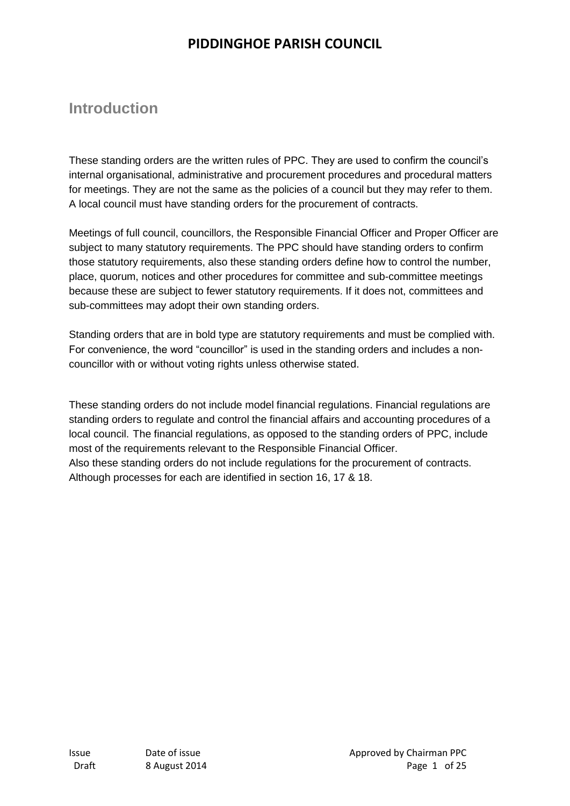## **Introduction**

These standing orders are the written rules of PPC. They are used to confirm the council's internal organisational, administrative and procurement procedures and procedural matters for meetings. They are not the same as the policies of a council but they may refer to them. A local council must have standing orders for the procurement of contracts.

Meetings of full council, councillors, the Responsible Financial Officer and Proper Officer are subject to many statutory requirements. The PPC should have standing orders to confirm those statutory requirements, also these standing orders define how to control the number, place, quorum, notices and other procedures for committee and sub-committee meetings because these are subject to fewer statutory requirements. If it does not, committees and sub-committees may adopt their own standing orders.

Standing orders that are in bold type are statutory requirements and must be complied with. For convenience, the word "councillor" is used in the standing orders and includes a noncouncillor with or without voting rights unless otherwise stated.

These standing orders do not include model financial regulations. Financial regulations are standing orders to regulate and control the financial affairs and accounting procedures of a local council. The financial regulations, as opposed to the standing orders of PPC, include most of the requirements relevant to the Responsible Financial Officer. Also these standing orders do not include regulations for the procurement of contracts.

Although processes for each are identified in section 16, 17 & 18.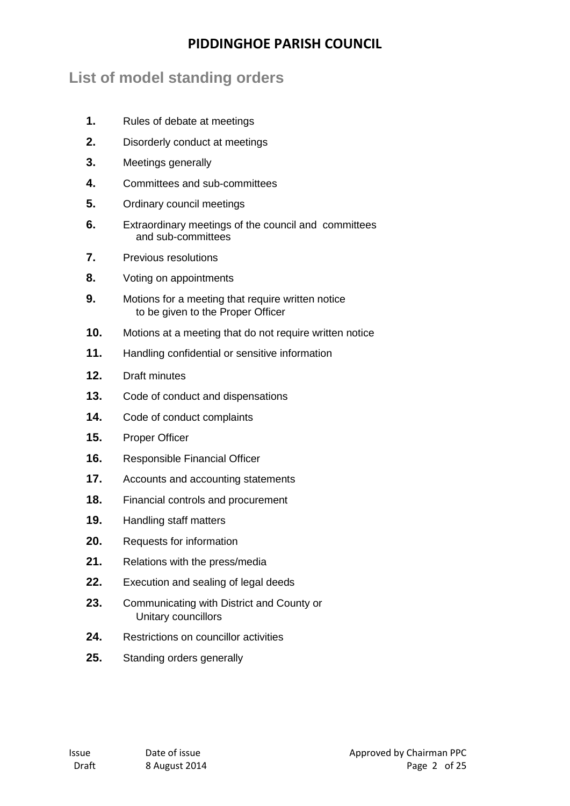## **List of model standing orders**

- **1.** Rules of debate at meetings
- **2.** Disorderly conduct at meetings
- **3.** Meetings generally
- **4.** Committees and sub-committees
- **5.** Ordinary council meetings
- **6.** Extraordinary meetings of the council and committees and sub-committees
- **7.** Previous resolutions
- **8.** Voting on appointments
- **9.** Motions for a meeting that require written notice to be given to the Proper Officer
- **10.** Motions at a meeting that do not require written notice
- **11.** Handling confidential or sensitive information
- **12.** Draft minutes
- **13.** Code of conduct and dispensations
- **14.** Code of conduct complaints
- **15.** Proper Officer
- **16.** Responsible Financial Officer
- **17.** Accounts and accounting statements
- **18.** Financial controls and procurement
- **19.** Handling staff matters
- **20.** Requests for information
- **21.** Relations with the press/media
- **22.** Execution and sealing of legal deeds
- **23.** Communicating with District and County or Unitary councillors
- **24.** Restrictions on councillor activities
- **25.** Standing orders generally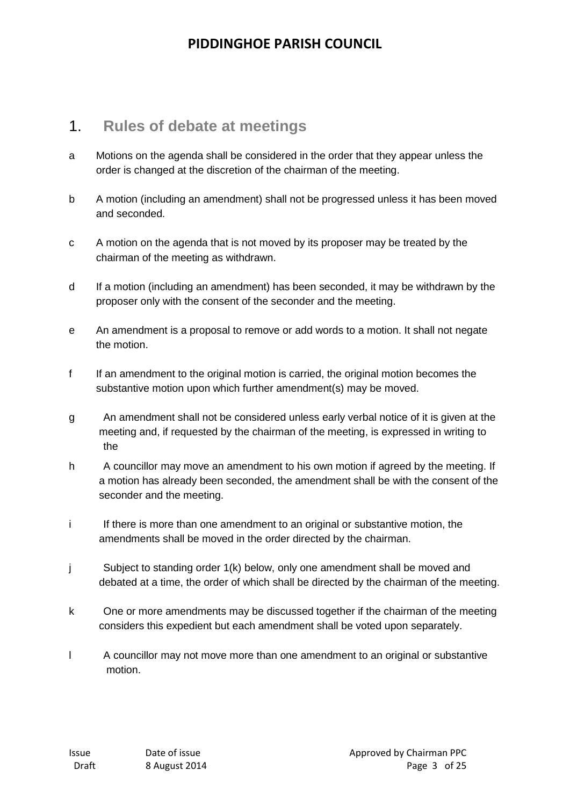#### 1. **Rules of debate at meetings**

- a Motions on the agenda shall be considered in the order that they appear unless the order is changed at the discretion of the chairman of the meeting.
- b A motion (including an amendment) shall not be progressed unless it has been moved and seconded.
- c A motion on the agenda that is not moved by its proposer may be treated by the chairman of the meeting as withdrawn.
- d If a motion (including an amendment) has been seconded, it may be withdrawn by the proposer only with the consent of the seconder and the meeting.
- e An amendment is a proposal to remove or add words to a motion. It shall not negate the motion.
- f If an amendment to the original motion is carried, the original motion becomes the substantive motion upon which further amendment(s) may be moved.
- g An amendment shall not be considered unless early verbal notice of it is given at the meeting and, if requested by the chairman of the meeting, is expressed in writing to the
- h A councillor may move an amendment to his own motion if agreed by the meeting. If a motion has already been seconded, the amendment shall be with the consent of the seconder and the meeting.
- i If there is more than one amendment to an original or substantive motion, the amendments shall be moved in the order directed by the chairman.
- j Subject to standing order 1(k) below, only one amendment shall be moved and debated at a time, the order of which shall be directed by the chairman of the meeting.
- k One or more amendments may be discussed together if the chairman of the meeting considers this expedient but each amendment shall be voted upon separately.
- l A councillor may not move more than one amendment to an original or substantive motion.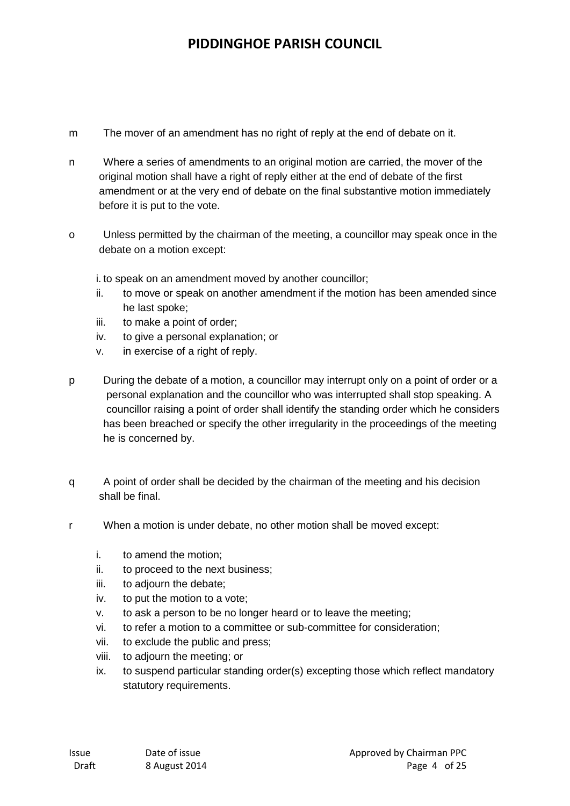- m The mover of an amendment has no right of reply at the end of debate on it.
- n Where a series of amendments to an original motion are carried, the mover of the original motion shall have a right of reply either at the end of debate of the first amendment or at the very end of debate on the final substantive motion immediately before it is put to the vote.
- o Unless permitted by the chairman of the meeting, a councillor may speak once in the debate on a motion except:

i. to speak on an amendment moved by another councillor;

- ii. to move or speak on another amendment if the motion has been amended since he last spoke;
- iii. to make a point of order;
- iv. to give a personal explanation; or
- v. in exercise of a right of reply.
- p During the debate of a motion, a councillor may interrupt only on a point of order or a personal explanation and the councillor who was interrupted shall stop speaking. A councillor raising a point of order shall identify the standing order which he considers has been breached or specify the other irregularity in the proceedings of the meeting he is concerned by.
- q A point of order shall be decided by the chairman of the meeting and his decision shall be final.
- r When a motion is under debate, no other motion shall be moved except:
	- i. to amend the motion;
	- ii. to proceed to the next business;
	- iii. to adjourn the debate;
	- iv. to put the motion to a vote;
	- v. to ask a person to be no longer heard or to leave the meeting;
	- vi. to refer a motion to a committee or sub-committee for consideration;
	- vii. to exclude the public and press;
	- viii. to adjourn the meeting; or
	- ix. to suspend particular standing order(s) excepting those which reflect mandatory statutory requirements.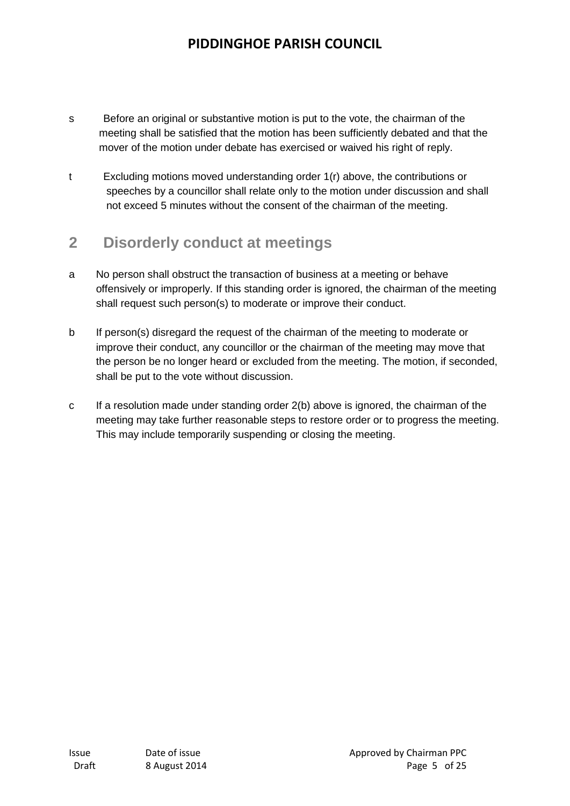- s Before an original or substantive motion is put to the vote, the chairman of the meeting shall be satisfied that the motion has been sufficiently debated and that the mover of the motion under debate has exercised or waived his right of reply.
- t Excluding motions moved understanding order 1(r) above, the contributions or speeches by a councillor shall relate only to the motion under discussion and shall not exceed 5 minutes without the consent of the chairman of the meeting.

## **2 Disorderly conduct at meetings**

- a No person shall obstruct the transaction of business at a meeting or behave offensively or improperly. If this standing order is ignored, the chairman of the meeting shall request such person(s) to moderate or improve their conduct.
- b If person(s) disregard the request of the chairman of the meeting to moderate or improve their conduct, any councillor or the chairman of the meeting may move that the person be no longer heard or excluded from the meeting. The motion, if seconded, shall be put to the vote without discussion.
- c If a resolution made under standing order 2(b) above is ignored, the chairman of the meeting may take further reasonable steps to restore order or to progress the meeting. This may include temporarily suspending or closing the meeting.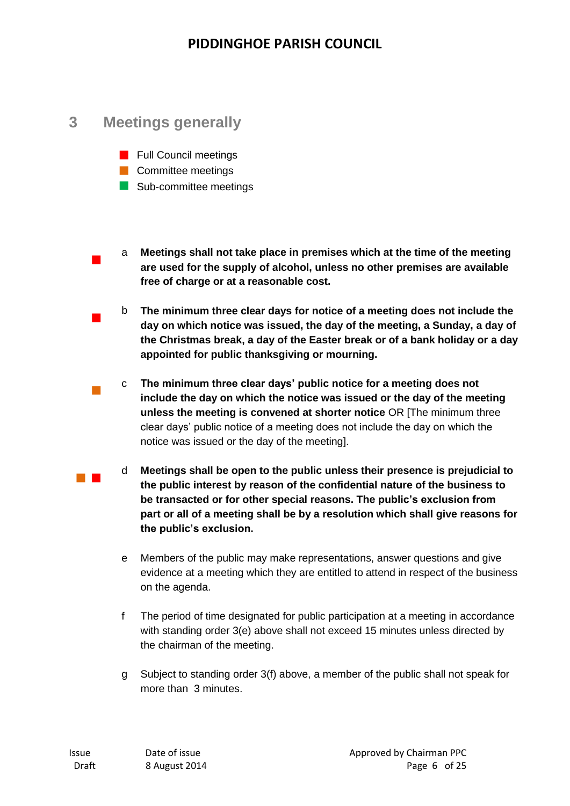### **3 Meetings generally**

 $\mathcal{L}_{\mathcal{A}}$ 

 $\mathcal{L}_{\mathcal{A}}$ 

 $\mathcal{L}_{\mathcal{A}}$ 

- **Full Council meetings**
- **Committee meetings**
- Sub-committee meetings
- a **Meetings shall not take place in premises which at the time of the meeting are used for the supply of alcohol, unless no other premises are available free of charge or at a reasonable cost.**
- b **The minimum three clear days for notice of a meeting does not include the day on which notice was issued, the day of the meeting, a Sunday, a day of the Christmas break, a day of the Easter break or of a bank holiday or a day appointed for public thanksgiving or mourning.**
- c **The minimum three clear days' public notice for a meeting does not include the day on which the notice was issued or the day of the meeting unless the meeting is convened at shorter notice** OR [The minimum three clear days' public notice of a meeting does not include the day on which the notice was issued or the day of the meeting].
- d **Meetings shall be open to the public unless their presence is prejudicial to the public interest by reason of the confidential nature of the business to be transacted or for other special reasons. The public's exclusion from part or all of a meeting shall be by a resolution which shall give reasons for the public's exclusion.**
	- e Members of the public may make representations, answer questions and give evidence at a meeting which they are entitled to attend in respect of the business on the agenda.
	- f The period of time designated for public participation at a meeting in accordance with standing order 3(e) above shall not exceed 15 minutes unless directed by the chairman of the meeting.
	- g Subject to standing order 3(f) above, a member of the public shall not speak for more than 3 minutes.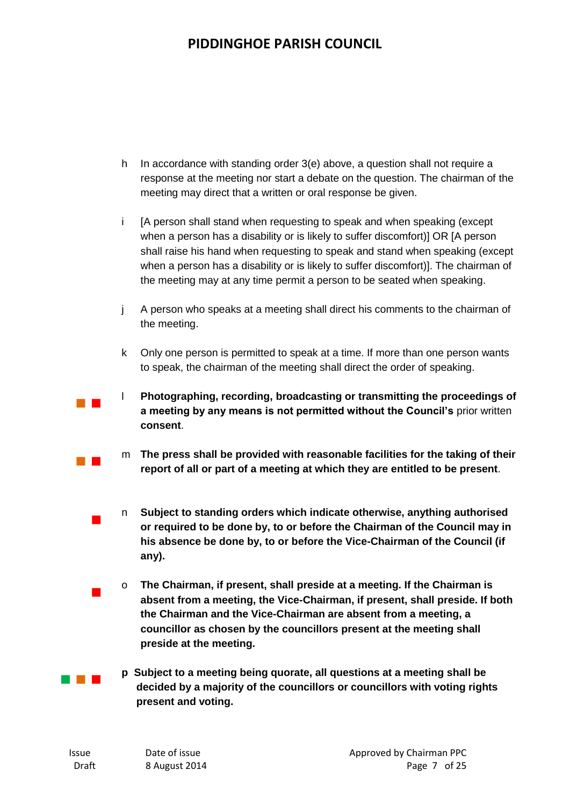- h In accordance with standing order 3(e) above, a question shall not require a response at the meeting nor start a debate on the question. The chairman of the meeting may direct that a written or oral response be given.
- i [A person shall stand when requesting to speak and when speaking (except when a person has a disability or is likely to suffer discomfort)] OR [A person shall raise his hand when requesting to speak and stand when speaking (except when a person has a disability or is likely to suffer discomfort)]. The chairman of the meeting may at any time permit a person to be seated when speaking.
- j A person who speaks at a meeting shall direct his comments to the chairman of the meeting.
- k Only one person is permitted to speak at a time. If more than one person wants to speak, the chairman of the meeting shall direct the order of speaking.
- l **Photographing, recording, broadcasting or transmitting the proceedings of a meeting by any means is not permitted without the Council's** prior written **consent**.
	- m **The press shall be provided with reasonable facilities for the taking of their report of all or part of a meeting at which they are entitled to be present**.
	- n **Subject to standing orders which indicate otherwise, anything authorised or required to be done by, to or before the Chairman of the Council may in his absence be done by, to or before the Vice-Chairman of the Council (if any).**
	- o **The Chairman, if present, shall preside at a meeting. If the Chairman is absent from a meeting, the Vice-Chairman, if present, shall preside. If both the Chairman and the Vice-Chairman are absent from a meeting, a councillor as chosen by the councillors present at the meeting shall preside at the meeting.**
- **THE R p Subject to a meeting being quorate, all questions at a meeting shall be decided by a majority of the councillors or councillors with voting rights present and voting.**

 $\blacksquare$ 

 $\blacksquare$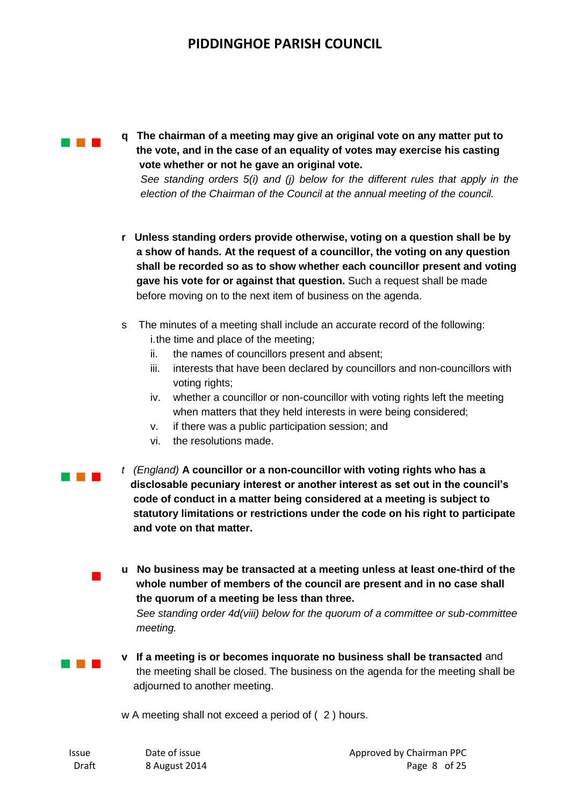

**q The chairman of a meeting may give an original vote on any matter put to the vote, and in the case of an equality of votes may exercise his casting vote whether or not he gave an original vote.**

*See standing orders 5(i) and (j) below for the different rules that apply in the election of the Chairman of the Council at the annual meeting of the council.*

- **r Unless standing orders provide otherwise, voting on a question shall be by a show of hands. At the request of a councillor, the voting on any question shall be recorded so as to show whether each councillor present and voting gave his vote for or against that question.** Such a request shall be made before moving on to the next item of business on the agenda.
- s The minutes of a meeting shall include an accurate record of the following: i.the time and place of the meeting;
	- ii. the names of councillors present and absent;
	- iii. interests that have been declared by councillors and non-councillors with voting rights:
	- iv. whether a councillor or non-councillor with voting rights left the meeting when matters that they held interests in were being considered;
	- v. if there was a public participation session; and
	- vi. the resolutions made.
- $\sim 10^{-1}$ *t (England)* **A councillor or a non-councillor with voting rights who has a disclosable pecuniary interest or another interest as set out in the council's code of conduct in a matter being considered at a meeting is subject to statutory limitations or restrictions under the code on his right to participate and vote on that matter.**
	- **u No business may be transacted at a meeting unless at least one-third of the whole number of members of the council are present and in no case shall the quorum of a meeting be less than three.**

 *See standing order 4d(viii) below for the quorum of a committee or sub-committee meeting.* 

and the control

 $\mathcal{L}_{\mathcal{A}}$ 

**v If a meeting is or becomes inquorate no business shall be transacted** and the meeting shall be closed. The business on the agenda for the meeting shall be adjourned to another meeting.

w A meeting shall not exceed a period of ( 2 ) hours.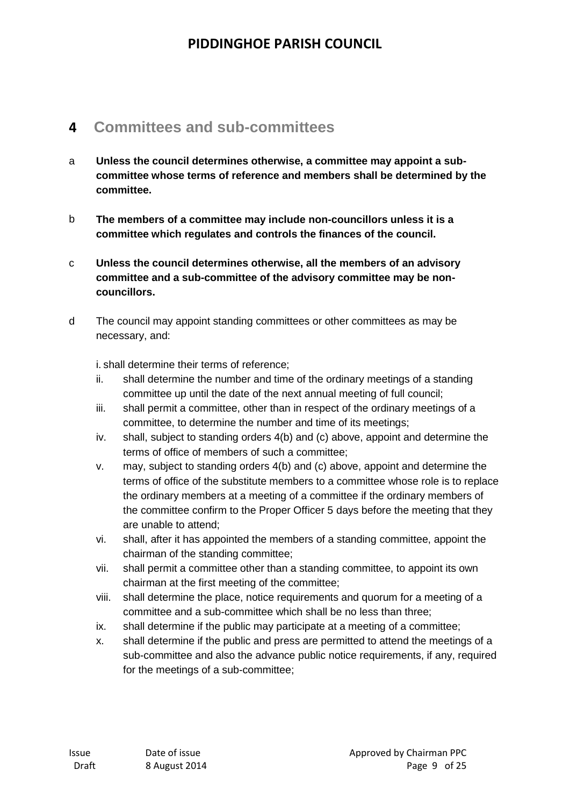### **4 Committees and sub-committees**

- a **Unless the council determines otherwise, a committee may appoint a subcommittee whose terms of reference and members shall be determined by the committee.**
- b **The members of a committee may include non-councillors unless it is a committee which regulates and controls the finances of the council.**
- c **Unless the council determines otherwise, all the members of an advisory committee and a sub-committee of the advisory committee may be noncouncillors.**
- d The council may appoint standing committees or other committees as may be necessary, and:

i. shall determine their terms of reference;

- ii. shall determine the number and time of the ordinary meetings of a standing committee up until the date of the next annual meeting of full council;
- iii. shall permit a committee, other than in respect of the ordinary meetings of a committee, to determine the number and time of its meetings;
- iv. shall, subject to standing orders 4(b) and (c) above, appoint and determine the terms of office of members of such a committee;
- v. may, subject to standing orders 4(b) and (c) above, appoint and determine the terms of office of the substitute members to a committee whose role is to replace the ordinary members at a meeting of a committee if the ordinary members of the committee confirm to the Proper Officer 5 days before the meeting that they are unable to attend;
- vi. shall, after it has appointed the members of a standing committee, appoint the chairman of the standing committee;
- vii. shall permit a committee other than a standing committee, to appoint its own chairman at the first meeting of the committee;
- viii. shall determine the place, notice requirements and quorum for a meeting of a committee and a sub-committee which shall be no less than three;
- ix. shall determine if the public may participate at a meeting of a committee;
- x. shall determine if the public and press are permitted to attend the meetings of a sub-committee and also the advance public notice requirements, if any, required for the meetings of a sub-committee;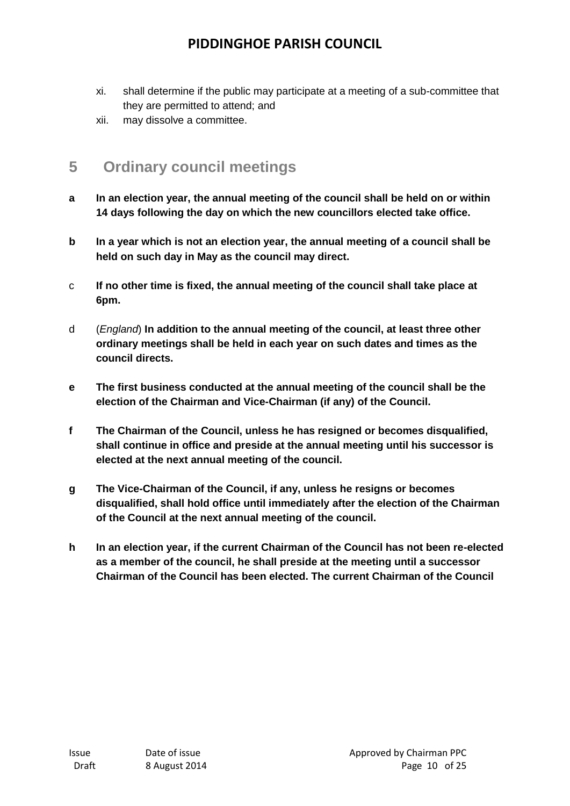- xi. shall determine if the public may participate at a meeting of a sub-committee that they are permitted to attend; and
- xii. may dissolve a committee.

## **5 Ordinary council meetings**

- **a In an election year, the annual meeting of the council shall be held on or within 14 days following the day on which the new councillors elected take office.**
- **b In a year which is not an election year, the annual meeting of a council shall be held on such day in May as the council may direct.**
- c **If no other time is fixed, the annual meeting of the council shall take place at 6pm.**
- d (*England*) **In addition to the annual meeting of the council, at least three other ordinary meetings shall be held in each year on such dates and times as the council directs.**
- **e The first business conducted at the annual meeting of the council shall be the election of the Chairman and Vice-Chairman (if any) of the Council.**
- **f The Chairman of the Council, unless he has resigned or becomes disqualified, shall continue in office and preside at the annual meeting until his successor is elected at the next annual meeting of the council.**
- **g The Vice-Chairman of the Council, if any, unless he resigns or becomes disqualified, shall hold office until immediately after the election of the Chairman of the Council at the next annual meeting of the council.**
- **h In an election year, if the current Chairman of the Council has not been re-elected as a member of the council, he shall preside at the meeting until a successor Chairman of the Council has been elected. The current Chairman of the Council**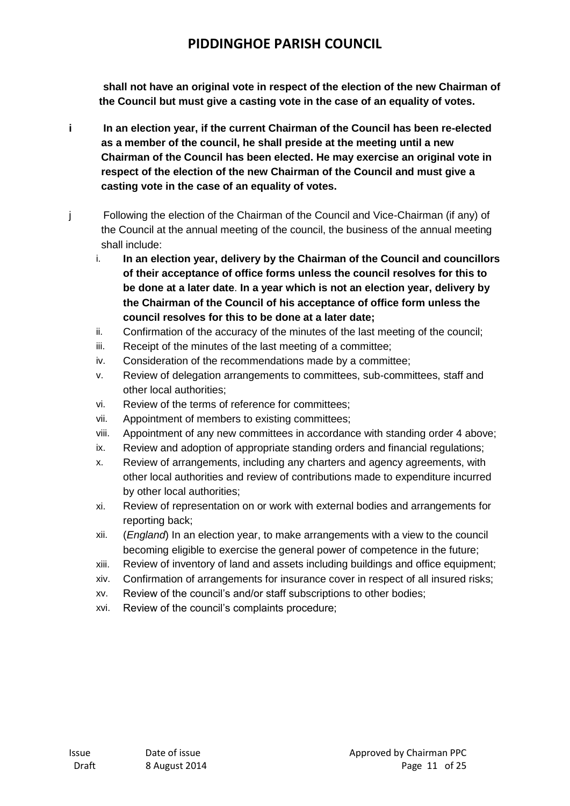**shall not have an original vote in respect of the election of the new Chairman of the Council but must give a casting vote in the case of an equality of votes.**

- **i In an election year, if the current Chairman of the Council has been re-elected as a member of the council, he shall preside at the meeting until a new Chairman of the Council has been elected. He may exercise an original vote in respect of the election of the new Chairman of the Council and must give a casting vote in the case of an equality of votes.**
- j Following the election of the Chairman of the Council and Vice-Chairman (if any) of the Council at the annual meeting of the council, the business of the annual meeting shall include:
	- i. **In an election year, delivery by the Chairman of the Council and councillors of their acceptance of office forms unless the council resolves for this to be done at a later date**. **In a year which is not an election year, delivery by the Chairman of the Council of his acceptance of office form unless the council resolves for this to be done at a later date;**
	- ii. Confirmation of the accuracy of the minutes of the last meeting of the council;
	- iii. Receipt of the minutes of the last meeting of a committee;
	- iv. Consideration of the recommendations made by a committee;
	- v. Review of delegation arrangements to committees, sub-committees, staff and other local authorities;
	- vi. Review of the terms of reference for committees;
	- vii. Appointment of members to existing committees;
	- viii. Appointment of any new committees in accordance with standing order 4 above;
	- ix. Review and adoption of appropriate standing orders and financial regulations;
	- x. Review of arrangements, including any charters and agency agreements, with other local authorities and review of contributions made to expenditure incurred by other local authorities;
	- xi. Review of representation on or work with external bodies and arrangements for reporting back;
	- xii. (*England*) In an election year, to make arrangements with a view to the council becoming eligible to exercise the general power of competence in the future;
	- xiii. Review of inventory of land and assets including buildings and office equipment;
	- xiv. Confirmation of arrangements for insurance cover in respect of all insured risks;
	- xv. Review of the council's and/or staff subscriptions to other bodies;
	- xvi. Review of the council's complaints procedure;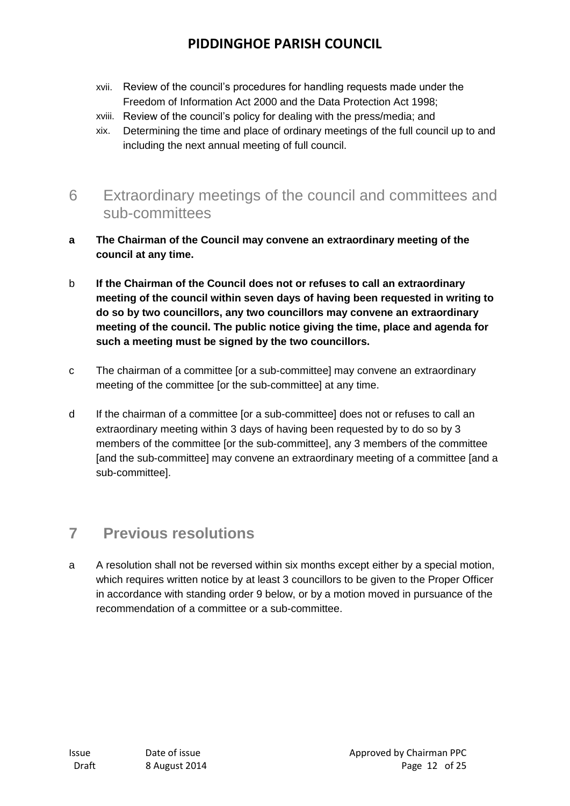- xvii. Review of the council's procedures for handling requests made under the Freedom of Information Act 2000 and the Data Protection Act 1998;
- xviii. Review of the council's policy for dealing with the press/media; and
- xix. Determining the time and place of ordinary meetings of the full council up to and including the next annual meeting of full council.
- 6 Extraordinary meetings of the council and committees and sub-committees
- **a The Chairman of the Council may convene an extraordinary meeting of the council at any time.**
- b **If the Chairman of the Council does not or refuses to call an extraordinary meeting of the council within seven days of having been requested in writing to do so by two councillors, any two councillors may convene an extraordinary meeting of the council. The public notice giving the time, place and agenda for such a meeting must be signed by the two councillors.**
- c The chairman of a committee [or a sub-committee] may convene an extraordinary meeting of the committee [or the sub-committee] at any time.
- d If the chairman of a committee [or a sub-committee] does not or refuses to call an extraordinary meeting within 3 days of having been requested by to do so by 3 members of the committee [or the sub-committee], any 3 members of the committee [and the sub-committee] may convene an extraordinary meeting of a committee [and a sub-committee].

## **7 Previous resolutions**

a A resolution shall not be reversed within six months except either by a special motion, which requires written notice by at least 3 councillors to be given to the Proper Officer in accordance with standing order 9 below, or by a motion moved in pursuance of the recommendation of a committee or a sub-committee.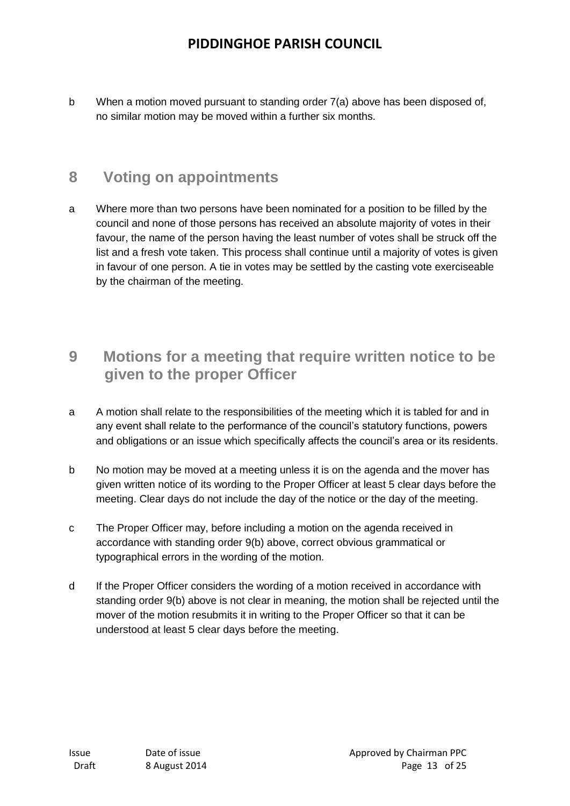b When a motion moved pursuant to standing order 7(a) above has been disposed of, no similar motion may be moved within a further six months.

## **8 Voting on appointments**

a Where more than two persons have been nominated for a position to be filled by the council and none of those persons has received an absolute majority of votes in their favour, the name of the person having the least number of votes shall be struck off the list and a fresh vote taken. This process shall continue until a majority of votes is given in favour of one person. A tie in votes may be settled by the casting vote exerciseable by the chairman of the meeting.

## **9 Motions for a meeting that require written notice to be given to the proper Officer**

- a A motion shall relate to the responsibilities of the meeting which it is tabled for and in any event shall relate to the performance of the council's statutory functions, powers and obligations or an issue which specifically affects the council's area or its residents.
- b No motion may be moved at a meeting unless it is on the agenda and the mover has given written notice of its wording to the Proper Officer at least 5 clear days before the meeting. Clear days do not include the day of the notice or the day of the meeting.
- c The Proper Officer may, before including a motion on the agenda received in accordance with standing order 9(b) above, correct obvious grammatical or typographical errors in the wording of the motion.
- d If the Proper Officer considers the wording of a motion received in accordance with standing order 9(b) above is not clear in meaning, the motion shall be rejected until the mover of the motion resubmits it in writing to the Proper Officer so that it can be understood at least 5 clear days before the meeting.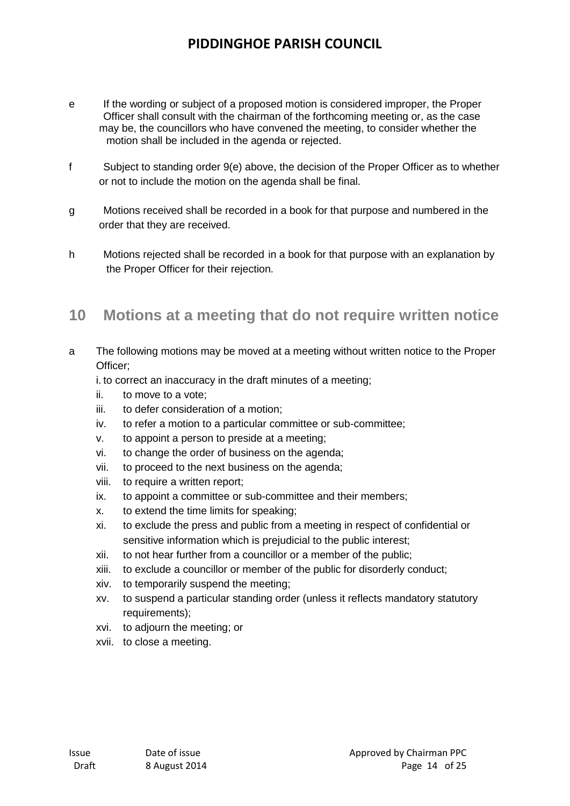- e If the wording or subject of a proposed motion is considered improper, the Proper Officer shall consult with the chairman of the forthcoming meeting or, as the case may be, the councillors who have convened the meeting, to consider whether the motion shall be included in the agenda or rejected.
- f Subject to standing order 9(e) above, the decision of the Proper Officer as to whether or not to include the motion on the agenda shall be final.
- g Motions received shall be recorded in a book for that purpose and numbered in the order that they are received.
- h Motions rejected shall be recorded in a book for that purpose with an explanation by the Proper Officer for their rejection.

## **10 Motions at a meeting that do not require written notice**

- a The following motions may be moved at a meeting without written notice to the Proper Officer;
	- i. to correct an inaccuracy in the draft minutes of a meeting;
	- ii. to move to a vote;
	- iii. to defer consideration of a motion;
	- iv. to refer a motion to a particular committee or sub-committee;
	- v. to appoint a person to preside at a meeting;
	- vi. to change the order of business on the agenda;
	- vii. to proceed to the next business on the agenda;
	- viii. to require a written report;
	- ix. to appoint a committee or sub-committee and their members;
	- x. to extend the time limits for speaking;
	- xi. to exclude the press and public from a meeting in respect of confidential or sensitive information which is prejudicial to the public interest;
	- xii. to not hear further from a councillor or a member of the public;
	- xiii. to exclude a councillor or member of the public for disorderly conduct;
	- xiv. to temporarily suspend the meeting;
	- xv. to suspend a particular standing order (unless it reflects mandatory statutory requirements);
	- xvi. to adjourn the meeting; or
	- xvii. to close a meeting.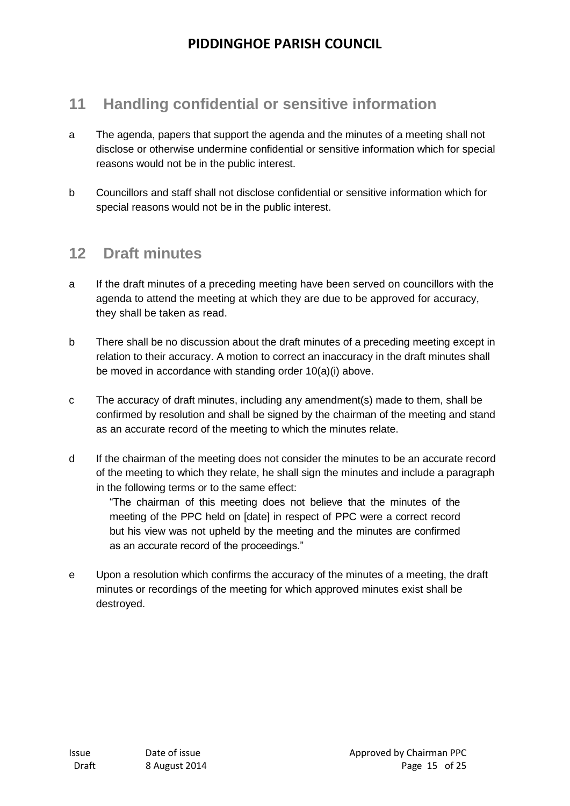## **11 Handling confidential or sensitive information**

- a The agenda, papers that support the agenda and the minutes of a meeting shall not disclose or otherwise undermine confidential or sensitive information which for special reasons would not be in the public interest.
- b Councillors and staff shall not disclose confidential or sensitive information which for special reasons would not be in the public interest.

#### **12 Draft minutes**

- a If the draft minutes of a preceding meeting have been served on councillors with the agenda to attend the meeting at which they are due to be approved for accuracy, they shall be taken as read.
- b There shall be no discussion about the draft minutes of a preceding meeting except in relation to their accuracy. A motion to correct an inaccuracy in the draft minutes shall be moved in accordance with standing order 10(a)(i) above.
- c The accuracy of draft minutes, including any amendment(s) made to them, shall be confirmed by resolution and shall be signed by the chairman of the meeting and stand as an accurate record of the meeting to which the minutes relate.
- d If the chairman of the meeting does not consider the minutes to be an accurate record of the meeting to which they relate, he shall sign the minutes and include a paragraph in the following terms or to the same effect:

"The chairman of this meeting does not believe that the minutes of the meeting of the PPC held on [date] in respect of PPC were a correct record but his view was not upheld by the meeting and the minutes are confirmed as an accurate record of the proceedings."

e Upon a resolution which confirms the accuracy of the minutes of a meeting, the draft minutes or recordings of the meeting for which approved minutes exist shall be destroyed.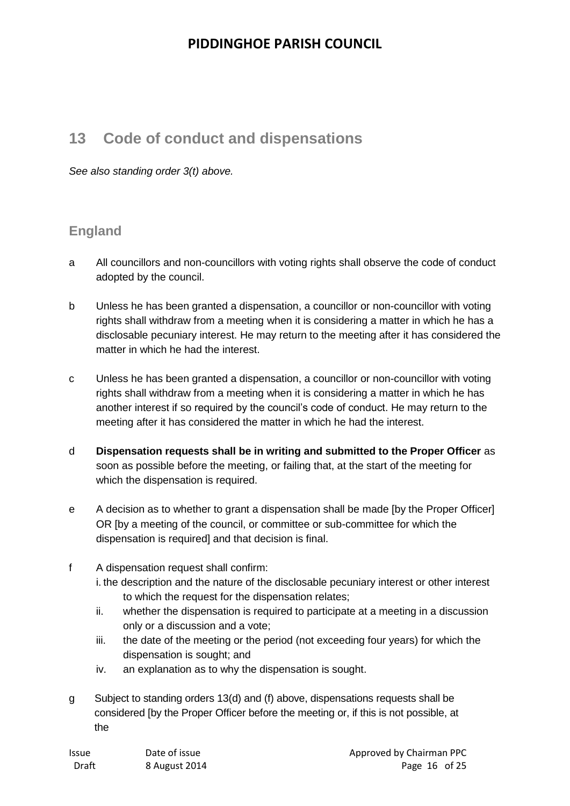## **13 Code of conduct and dispensations**

*See also standing order 3(t) above.* 

#### **England**

- a All councillors and non-councillors with voting rights shall observe the code of conduct adopted by the council.
- b Unless he has been granted a dispensation, a councillor or non-councillor with voting rights shall withdraw from a meeting when it is considering a matter in which he has a disclosable pecuniary interest. He may return to the meeting after it has considered the matter in which he had the interest.
- c Unless he has been granted a dispensation, a councillor or non-councillor with voting rights shall withdraw from a meeting when it is considering a matter in which he has another interest if so required by the council's code of conduct. He may return to the meeting after it has considered the matter in which he had the interest.
- d **Dispensation requests shall be in writing and submitted to the Proper Officer** as soon as possible before the meeting, or failing that, at the start of the meeting for which the dispensation is required.
- e A decision as to whether to grant a dispensation shall be made [by the Proper Officer] OR [by a meeting of the council, or committee or sub-committee for which the dispensation is required] and that decision is final.
- f A dispensation request shall confirm:
	- i. the description and the nature of the disclosable pecuniary interest or other interest to which the request for the dispensation relates;
	- ii. whether the dispensation is required to participate at a meeting in a discussion only or a discussion and a vote;
	- iii. the date of the meeting or the period (not exceeding four years) for which the dispensation is sought; and
	- iv. an explanation as to why the dispensation is sought.
- g Subject to standing orders 13(d) and (f) above, dispensations requests shall be considered [by the Proper Officer before the meeting or, if this is not possible, at the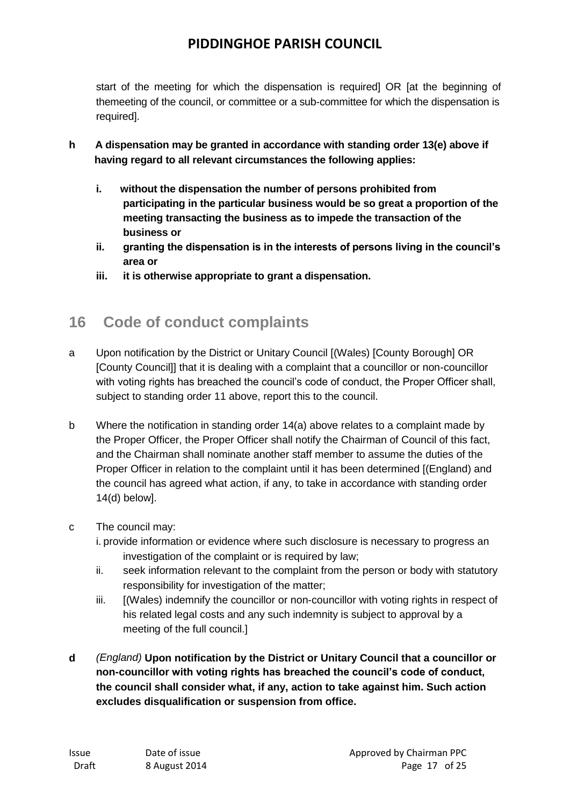start of the meeting for which the dispensation is required] OR [at the beginning of themeeting of the council, or committee or a sub-committee for which the dispensation is required].

- **h A dispensation may be granted in accordance with standing order 13(e) above if having regard to all relevant circumstances the following applies:**
	- **i. without the dispensation the number of persons prohibited from participating in the particular business would be so great a proportion of the meeting transacting the business as to impede the transaction of the business or**
	- **ii. granting the dispensation is in the interests of persons living in the council's area or**
	- **iii. it is otherwise appropriate to grant a dispensation.**

## **16 Code of conduct complaints**

- a Upon notification by the District or Unitary Council [(Wales) [County Borough] OR [County Council]] that it is dealing with a complaint that a councillor or non-councillor with voting rights has breached the council's code of conduct, the Proper Officer shall, subject to standing order 11 above, report this to the council.
- b Where the notification in standing order 14(a) above relates to a complaint made by the Proper Officer, the Proper Officer shall notify the Chairman of Council of this fact, and the Chairman shall nominate another staff member to assume the duties of the Proper Officer in relation to the complaint until it has been determined [(England) and the council has agreed what action, if any, to take in accordance with standing order 14(d) below].
- c The council may:
	- i. provide information or evidence where such disclosure is necessary to progress an investigation of the complaint or is required by law;
	- ii. seek information relevant to the complaint from the person or body with statutory responsibility for investigation of the matter;
	- iii. [(Wales) indemnify the councillor or non-councillor with voting rights in respect of his related legal costs and any such indemnity is subject to approval by a meeting of the full council.]
- **d** *(England)* **Upon notification by the District or Unitary Council that a councillor or non-councillor with voting rights has breached the council's code of conduct, the council shall consider what, if any, action to take against him. Such action excludes disqualification or suspension from office.**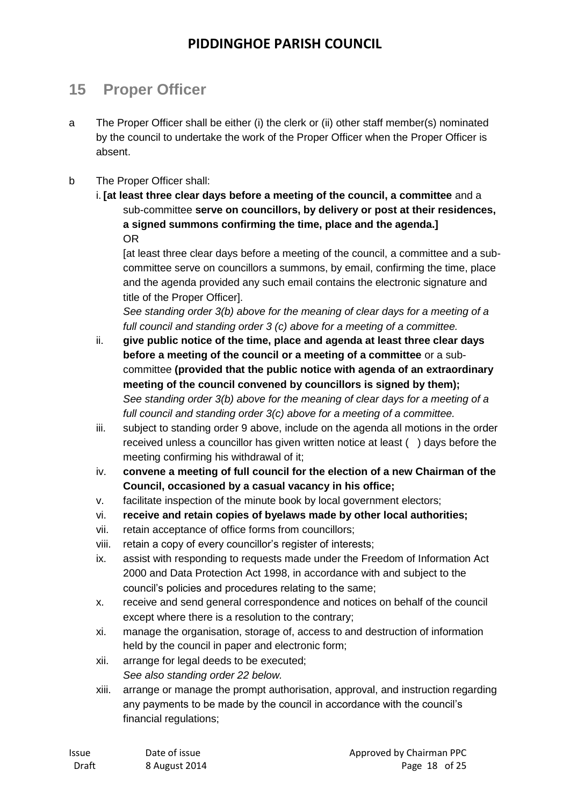## **15 Proper Officer**

- a The Proper Officer shall be either (i) the clerk or (ii) other staff member(s) nominated by the council to undertake the work of the Proper Officer when the Proper Officer is absent.
- b The Proper Officer shall:
	- i. **[at least three clear days before a meeting of the council, a committee** and a sub-committee **serve on councillors, by delivery or post at their residences, a signed summons confirming the time, place and the agenda.]**  OR

[at least three clear days before a meeting of the council, a committee and a subcommittee serve on councillors a summons, by email, confirming the time, place and the agenda provided any such email contains the electronic signature and title of the Proper Officer].

*See standing order 3(b) above for the meaning of clear days for a meeting of a full council and standing order 3 (c) above for a meeting of a committee.*

- ii. **give public notice of the time, place and agenda at least three clear days before a meeting of the council or a meeting of a committee** or a subcommittee **(provided that the public notice with agenda of an extraordinary meeting of the council convened by councillors is signed by them);** *See standing order 3(b) above for the meaning of clear days for a meeting of a full council and standing order 3(c) above for a meeting of a committee.*
- iii. subject to standing order 9 above, include on the agenda all motions in the order received unless a councillor has given written notice at least ( ) days before the meeting confirming his withdrawal of it;
- iv. **convene a meeting of full council for the election of a new Chairman of the Council, occasioned by a casual vacancy in his office;**
- v. facilitate inspection of the minute book by local government electors;
- vi. **receive and retain copies of byelaws made by other local authorities;**
- vii. retain acceptance of office forms from councillors;
- viii. retain a copy of every councillor's register of interests;
- ix. assist with responding to requests made under the Freedom of Information Act 2000 and Data Protection Act 1998, in accordance with and subject to the council's policies and procedures relating to the same;
- x. receive and send general correspondence and notices on behalf of the council except where there is a resolution to the contrary;
- xi. manage the organisation, storage of, access to and destruction of information held by the council in paper and electronic form;
- xii. arrange for legal deeds to be executed; *See also standing order 22 below.*
- xiii. arrange or manage the prompt authorisation, approval, and instruction regarding any payments to be made by the council in accordance with the council's financial regulations;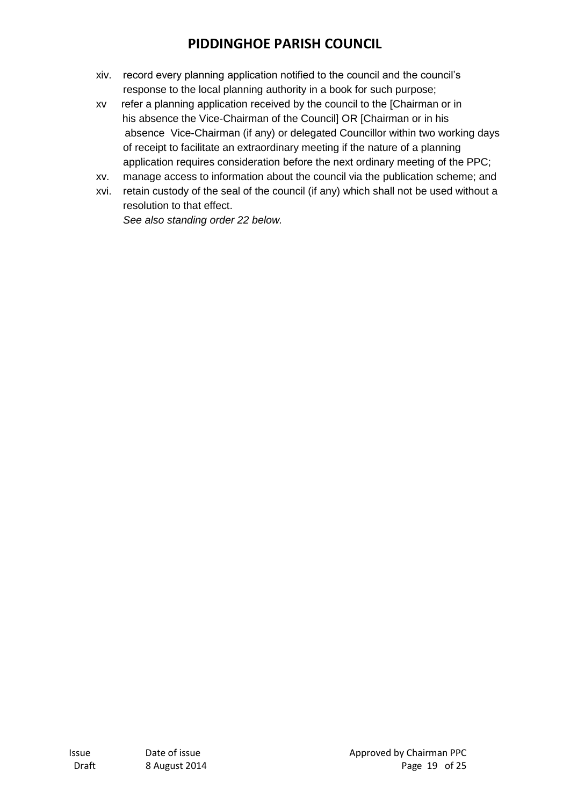- xiv. record every planning application notified to the council and the council's response to the local planning authority in a book for such purpose;
- xv refer a planning application received by the council to the [Chairman or in his absence the Vice-Chairman of the Council] OR [Chairman or in his absence Vice-Chairman (if any) or delegated Councillor within two working days of receipt to facilitate an extraordinary meeting if the nature of a planning application requires consideration before the next ordinary meeting of the PPC;
- xv. manage access to information about the council via the publication scheme; and
- xvi. retain custody of the seal of the council (if any) which shall not be used without a resolution to that effect.

*See also standing order 22 below.*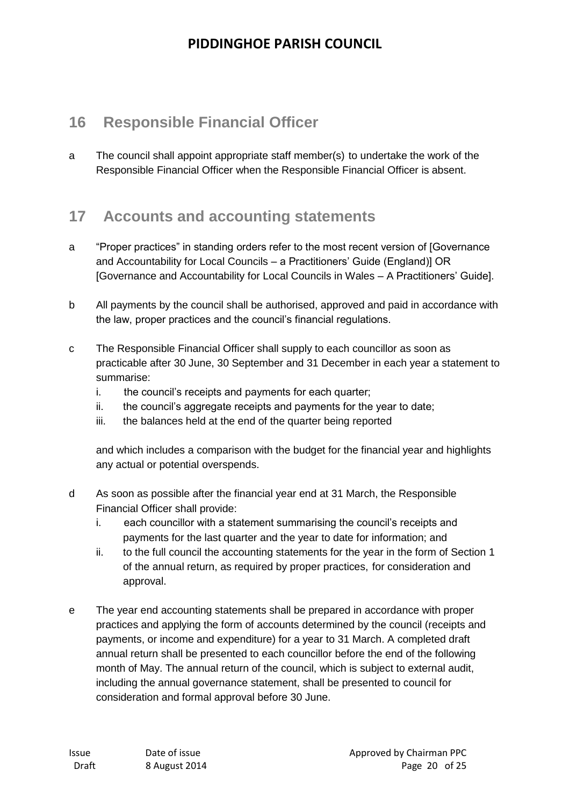## **16 Responsible Financial Officer**

a The council shall appoint appropriate staff member(s) to undertake the work of the Responsible Financial Officer when the Responsible Financial Officer is absent.

#### **17 Accounts and accounting statements**

- a "Proper practices" in standing orders refer to the most recent version of [Governance and Accountability for Local Councils – a Practitioners' Guide (England)] OR [Governance and Accountability for Local Councils in Wales – A Practitioners' Guide].
- b All payments by the council shall be authorised, approved and paid in accordance with the law, proper practices and the council's financial regulations.
- c The Responsible Financial Officer shall supply to each councillor as soon as practicable after 30 June, 30 September and 31 December in each year a statement to summarise:
	- i. the council's receipts and payments for each quarter;
	- ii. the council's aggregate receipts and payments for the year to date;
	- iii. the balances held at the end of the quarter being reported

and which includes a comparison with the budget for the financial year and highlights any actual or potential overspends.

- d As soon as possible after the financial year end at 31 March, the Responsible Financial Officer shall provide:
	- i. each councillor with a statement summarising the council's receipts and payments for the last quarter and the year to date for information; and
	- ii. to the full council the accounting statements for the year in the form of Section 1 of the annual return, as required by proper practices, for consideration and approval.
- e The year end accounting statements shall be prepared in accordance with proper practices and applying the form of accounts determined by the council (receipts and payments, or income and expenditure) for a year to 31 March. A completed draft annual return shall be presented to each councillor before the end of the following month of May. The annual return of the council, which is subject to external audit, including the annual governance statement, shall be presented to council for consideration and formal approval before 30 June.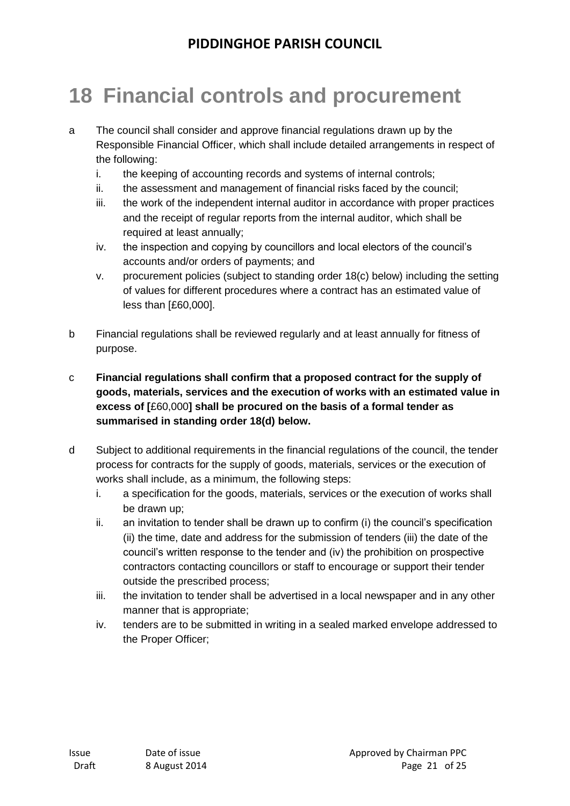# **18 Financial controls and procurement**

- a The council shall consider and approve financial regulations drawn up by the Responsible Financial Officer, which shall include detailed arrangements in respect of the following:
	- i. the keeping of accounting records and systems of internal controls;
	- ii. the assessment and management of financial risks faced by the council;
	- iii. the work of the independent internal auditor in accordance with proper practices and the receipt of regular reports from the internal auditor, which shall be required at least annually;
	- iv. the inspection and copying by councillors and local electors of the council's accounts and/or orders of payments; and
	- v. procurement policies (subject to standing order 18(c) below) including the setting of values for different procedures where a contract has an estimated value of less than [£60,000].
- b Financial regulations shall be reviewed regularly and at least annually for fitness of purpose.
- c **Financial regulations shall confirm that a proposed contract for the supply of goods, materials, services and the execution of works with an estimated value in excess of [**£60,000**] shall be procured on the basis of a formal tender as summarised in standing order 18(d) below.**
- d Subject to additional requirements in the financial regulations of the council, the tender process for contracts for the supply of goods, materials, services or the execution of works shall include, as a minimum, the following steps:
	- i. a specification for the goods, materials, services or the execution of works shall be drawn up;
	- ii. an invitation to tender shall be drawn up to confirm (i) the council's specification (ii) the time, date and address for the submission of tenders (iii) the date of the council's written response to the tender and (iv) the prohibition on prospective contractors contacting councillors or staff to encourage or support their tender outside the prescribed process;
	- iii. the invitation to tender shall be advertised in a local newspaper and in any other manner that is appropriate;
	- iv. tenders are to be submitted in writing in a sealed marked envelope addressed to the Proper Officer;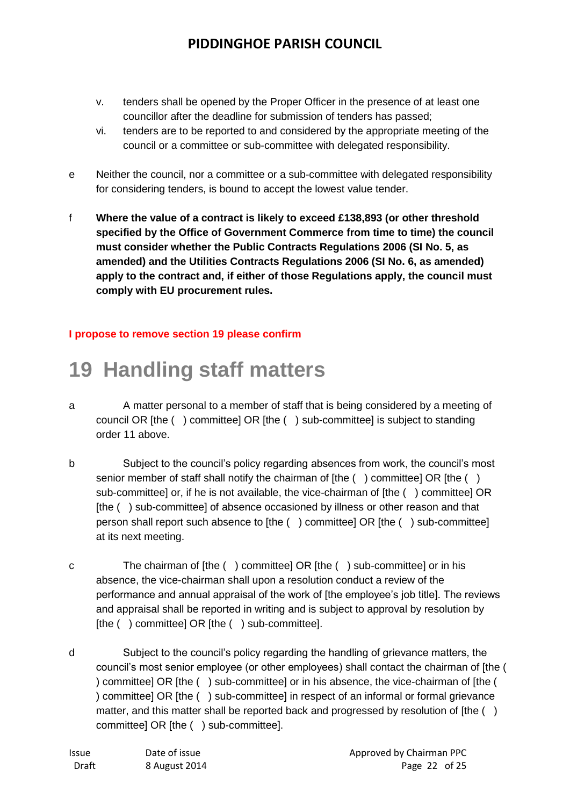- v. tenders shall be opened by the Proper Officer in the presence of at least one councillor after the deadline for submission of tenders has passed;
- vi. tenders are to be reported to and considered by the appropriate meeting of the council or a committee or sub-committee with delegated responsibility.
- e Neither the council, nor a committee or a sub-committee with delegated responsibility for considering tenders, is bound to accept the lowest value tender.
- f **Where the value of a contract is likely to exceed £138,893 (or other threshold specified by the Office of Government Commerce from time to time) the council must consider whether the Public Contracts Regulations 2006 (SI No. 5, as amended) and the Utilities Contracts Regulations 2006 (SI No. 6, as amended) apply to the contract and, if either of those Regulations apply, the council must comply with EU procurement rules.**

#### **I propose to remove section 19 please confirm**

## **19 Handling staff matters**

- a A matter personal to a member of staff that is being considered by a meeting of council OR [the ( ) committee] OR [the ( ) sub-committee] is subject to standing order 11 above.
- b Subject to the council's policy regarding absences from work, the council's most senior member of staff shall notify the chairman of [the () committee] OR [the () sub-committee] or, if he is not available, the vice-chairman of [the ( ) committee] OR [the ( ) sub-committee] of absence occasioned by illness or other reason and that person shall report such absence to [the ( ) committee] OR [the ( ) sub-committee] at its next meeting.
- c The chairman of [the ( ) committee] OR [the ( ) sub-committee] or in his absence, the vice-chairman shall upon a resolution conduct a review of the performance and annual appraisal of the work of [the employee's job title]. The reviews and appraisal shall be reported in writing and is subject to approval by resolution by [the ( ) committee] OR [the ( ) sub-committee].
- d Subject to the council's policy regarding the handling of grievance matters, the council's most senior employee (or other employees) shall contact the chairman of [the ( ) committee] OR [the ( ) sub-committee] or in his absence, the vice-chairman of [the ( ) committee] OR [the ( ) sub-committee] in respect of an informal or formal grievance matter, and this matter shall be reported back and progressed by resolution of [the () committee] OR [the ( ) sub-committee].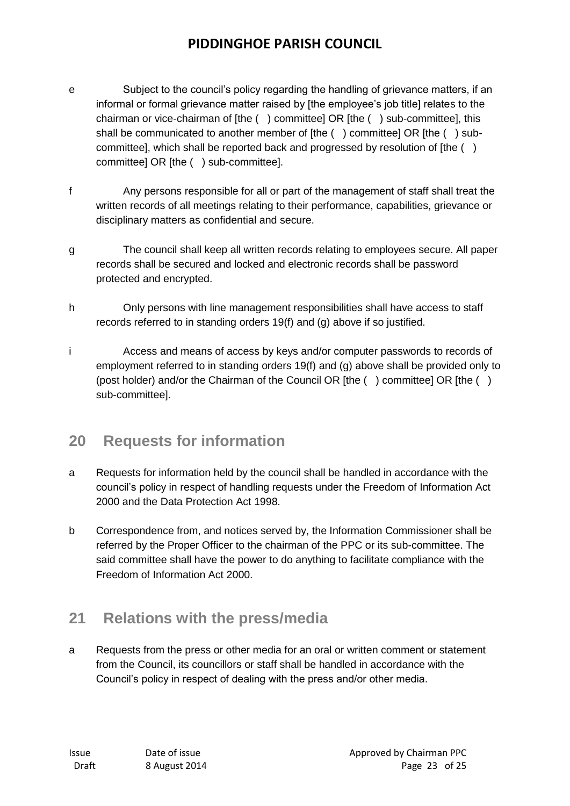- e Subject to the council's policy regarding the handling of grievance matters, if an informal or formal grievance matter raised by [the employee's job title] relates to the chairman or vice-chairman of [the ( ) committee] OR [the ( ) sub-committee], this shall be communicated to another member of [the () committee] OR [the () subcommittee], which shall be reported back and progressed by resolution of [the ( ) committee] OR [the ( ) sub-committee].
- f Any persons responsible for all or part of the management of staff shall treat the written records of all meetings relating to their performance, capabilities, grievance or disciplinary matters as confidential and secure.
- g The council shall keep all written records relating to employees secure. All paper records shall be secured and locked and electronic records shall be password protected and encrypted.
- h Only persons with line management responsibilities shall have access to staff records referred to in standing orders 19(f) and (g) above if so justified.
- i Access and means of access by keys and/or computer passwords to records of employment referred to in standing orders 19(f) and (g) above shall be provided only to (post holder) and/or the Chairman of the Council OR [the ( ) committee] OR [the ( ) sub-committee].

## **20 Requests for information**

- a Requests for information held by the council shall be handled in accordance with the council's policy in respect of handling requests under the Freedom of Information Act 2000 and the Data Protection Act 1998.
- b Correspondence from, and notices served by, the Information Commissioner shall be referred by the Proper Officer to the chairman of the PPC or its sub-committee. The said committee shall have the power to do anything to facilitate compliance with the Freedom of Information Act 2000.

## **21 Relations with the press/media**

a Requests from the press or other media for an oral or written comment or statement from the Council, its councillors or staff shall be handled in accordance with the Council's policy in respect of dealing with the press and/or other media.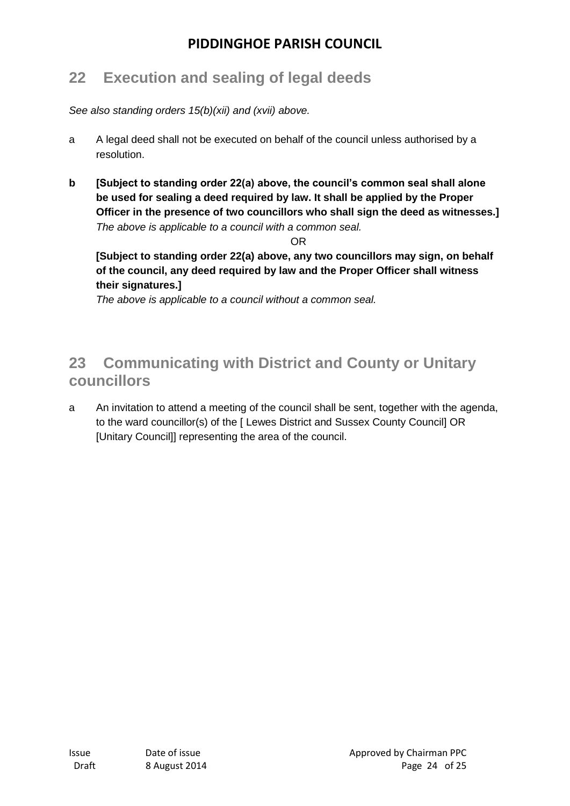## **22 Execution and sealing of legal deeds**

*See also standing orders 15(b)(xii) and (xvii) above.*

- a A legal deed shall not be executed on behalf of the council unless authorised by a resolution.
- **b [Subject to standing order 22(a) above, the council's common seal shall alone be used for sealing a deed required by law. It shall be applied by the Proper Officer in the presence of two councillors who shall sign the deed as witnesses.]** *The above is applicable to a council with a common seal.*

OR

**[Subject to standing order 22(a) above, any two councillors may sign, on behalf of the council, any deed required by law and the Proper Officer shall witness their signatures.]** 

*The above is applicable to a council without a common seal.*

## **23 Communicating with District and County or Unitary councillors**

a An invitation to attend a meeting of the council shall be sent, together with the agenda, to the ward councillor(s) of the [ Lewes District and Sussex County Council] OR [Unitary Council]] representing the area of the council.